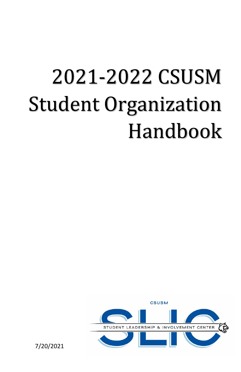# 2021-2022 CSUSM Student Organization Handbook



7/20/2021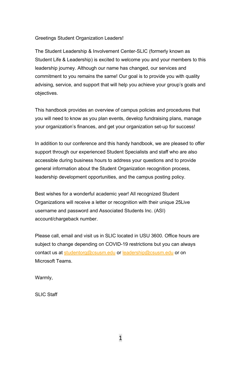Greetings Student Organization Leaders!

The Student Leadership & Involvement Center-SLIC (formerly known as Student Life & Leadership) is excited to welcome you and your members to this leadership journey. Although our name has changed, our services and commitment to you remains the same! Our goal is to provide you with quality advising, service, and support that will help you achieve your group's goals and objectives.

This handbook provides an overview of campus policies and procedures that you will need to know as you plan events, develop fundraising plans, manage your organization's finances, and get your organization set-up for success!

In addition to our conference and this handy handbook, we are pleased to offer support through our experienced Student Specialists and staff who are also accessible during business hours to address your questions and to provide general information about the Student Organization recognition process, leadership development opportunities, and the campus posting policy.

Best wishes for a wonderful academic year! All recognized Student Organizations will receive a letter or recognition with their unique 25Live username and password and Associated Students Inc. (ASI) account/chargeback number.

Please call, email and visit us in SLIC located in USU 3600. Office hours are subject to change depending on COVID-19 restrictions but you can always contact us at [studentorg@csusm.edu](mailto:studentorg@csusm.edu) o[r leadership@csusm.edu](mailto:leadership@csusm.edu) or on Microsoft Teams.

Warmly,

SLIC Staff

1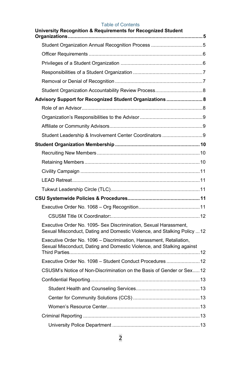# Table of Contents

| University Recognition & Requirements for Recognized Student                                                                                 |
|----------------------------------------------------------------------------------------------------------------------------------------------|
|                                                                                                                                              |
|                                                                                                                                              |
|                                                                                                                                              |
|                                                                                                                                              |
|                                                                                                                                              |
|                                                                                                                                              |
| Advisory Support for Recognized Student Organizations 8                                                                                      |
|                                                                                                                                              |
|                                                                                                                                              |
|                                                                                                                                              |
|                                                                                                                                              |
|                                                                                                                                              |
|                                                                                                                                              |
|                                                                                                                                              |
|                                                                                                                                              |
|                                                                                                                                              |
|                                                                                                                                              |
|                                                                                                                                              |
|                                                                                                                                              |
|                                                                                                                                              |
| Executive Order No. 1095- Sex Discrimination, Sexual Harassment,<br>Sexual Misconduct, Dating and Domestic Violence, and Stalking Policy  12 |
| Executive Order No. 1096 - Discrimination, Harassment, Retaliation,<br>Sexual Misconduct, Dating and Domestic Violence, and Stalking against |
| Executive Order No. 1098 - Student Conduct Procedures12                                                                                      |
| CSUSM's Notice of Non-Discrimination on the Basis of Gender or Sex12                                                                         |
|                                                                                                                                              |
|                                                                                                                                              |
|                                                                                                                                              |
|                                                                                                                                              |
|                                                                                                                                              |
|                                                                                                                                              |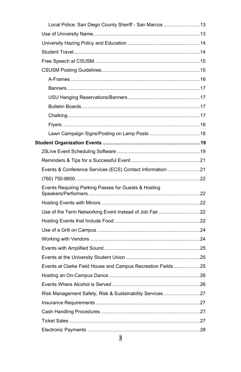| Local Police: San Diego County Sheriff - San Marcos  13     |  |
|-------------------------------------------------------------|--|
|                                                             |  |
|                                                             |  |
|                                                             |  |
|                                                             |  |
|                                                             |  |
|                                                             |  |
|                                                             |  |
|                                                             |  |
|                                                             |  |
|                                                             |  |
|                                                             |  |
|                                                             |  |
|                                                             |  |
|                                                             |  |
|                                                             |  |
| Events & Conference Services (ECS) Contact Information:21   |  |
|                                                             |  |
| Events Requiring Parking Passes for Guests & Hosting        |  |
|                                                             |  |
| Use of the Term Networking Event Instead of Job Fair22      |  |
|                                                             |  |
|                                                             |  |
|                                                             |  |
|                                                             |  |
|                                                             |  |
| Events at Clarke Field House and Campus Recreation Fields25 |  |
|                                                             |  |
|                                                             |  |
| Risk Management Safety, Risk & Sustainability Services27    |  |
|                                                             |  |
|                                                             |  |
|                                                             |  |
|                                                             |  |
| 3                                                           |  |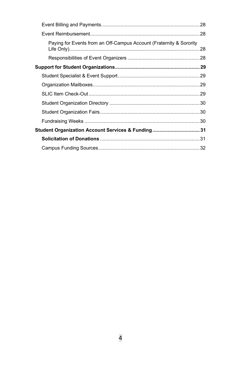| Paying for Events from an Off-Campus Account (Fraternity & Sorority | 28  |
|---------------------------------------------------------------------|-----|
|                                                                     |     |
|                                                                     |     |
|                                                                     |     |
|                                                                     | .29 |
|                                                                     |     |
|                                                                     |     |
|                                                                     |     |
|                                                                     |     |
| Student Organization Account Services & Funding 31                  |     |
|                                                                     |     |
|                                                                     |     |
|                                                                     |     |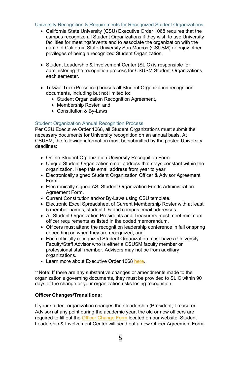## <span id="page-5-0"></span>University Recognition & Requirements for Recognized Student Organizations

- California State University (CSU) Executive Order 1068 requires that the campus recognize all Student Organizations if they wish to use University facilities for meetings/events and to associate the organization with the name of California State University San Marcos (CSUSM) or enjoy other privileges of being a recognized Student Organization.
- Student Leadership & Involvement Center (SLIC) is responsible for administering the recognition process for CSUSM Student Organizations each semester.
- Tukwut Trax (Presence) houses all Student Organization recognition documents, including but not limited to:
	- Student Organization Recognition Agreement,
	- Membership Roster, and
	- Constitution & By-Laws

#### <span id="page-5-1"></span>Student Organization Annual Recognition Process

Per CSU Executive Order 1068, all Student Organizations must submit the necessary documents for University recognition on an annual basis. At CSUSM, the following information must be submitted by the posted University deadlines:

- Online Student Organization University Recognition Form.
- Unique Student Organization email address that stays constant within the organization. Keep this email address from year to year.
- Electronically signed Student Organization Officer & Advisor Agreement Form.
- Electronically signed ASI Student Organization Funds Administration Agreement Form.
- Current Constitution and/or By-Laws using CSU template.
- Electronic Excel Spreadsheet of Current Membership Roster with at least 5 member names, student IDs and campus email addresses.
- All Student Organization Presidents and Treasurers must meet minimum officer requirements as listed in the coded memorandum.
- Officers must attend the recognition leadership conference in fall or spring depending on when they are recognized, and
- Each officially recognized Student Organization must have a University Faculty/Staff Advisor who is either a CSUSM faculty member or professional staff member. Advisors may not be from auxiliary organizations.
- Learn more about Executive Order 106[8 here.](https://calstate.policystat.com/policy/6591312/)

\*\*Note: If there are any substantive changes or amendments made to the organization's governing documents, they must be provided to SLIC within 90 days of the change or your organization risks losing recognition.

#### **Officer Changes/Transitions:**

If your student organization changes their leadership (President, Treasurer, Advisor) at any point during the academic year, the old or new officers are required to fill out th[e Officer Change Form](https://www.csusm.edu/sll/studentorgs/recognition.html) located on our website. Student Leadership & Involvement Center will send out a new Officer Agreement Form,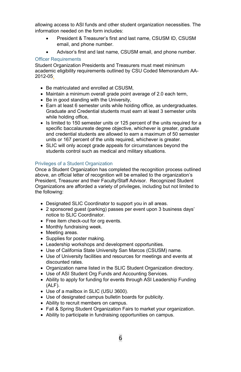allowing access to ASI funds and other student organization necessities. The information needed on the form includes:

- President & Treasurer's first and last name, CSUSM ID, CSUSM email, and phone number.
- Advisor's first and last name, CSUSM email, and phone number.

#### <span id="page-6-0"></span>Officer Requirements

Student Organization Presidents and Treasurers must meet minimum academic eligibility requirements outlined b[y CSU Coded Memorandum AA-](https://calstate.policystat.com/policy/6648732/)[2012-05:](https://calstate.policystat.com/policy/6648732/)

- Be matriculated and enrolled at CSUSM,
- Maintain a minimum overall grade point average of 2.0 each term,
- Be in good standing with the University,
- Earn at least 6 semester units while holding office, as undergraduates. Graduate and Credential students must earn at least 3 semester units while holding office,
- Is limited to 150 semester units or 125 percent of the units required for a specific baccalaureate degree objective, whichever is greater, graduate and credential students are allowed to earn a maximum of 50 semester units or 167 percent of the units required, whichever is greater.
- SLIC will only accept grade appeals for circumstances beyond the students control such as medical and military situations.

## <span id="page-6-1"></span>Privileges of a Student Organization

Once a Student Organization has completed the recognition process outlined above, an official letter of recognition will be emailed to the organization's President, Treasurer and their Faculty/Staff Advisor. Recognized Student Organizations are afforded a variety of privileges, including but not limited to the following:

- Designated SLIC Coordinator to support you in all areas.
- 2 sponsored quest (parking) passes per event upon 3 business days' notice to SLIC Coordinator.
- Free item check-out for org events.
- Monthly fundraising week.
- Meeting areas.
- Supplies for poster making.
- Leadership workshops and development opportunities.
- Use of California State University San Marcos (CSUSM) name.
- Use of University facilities and resources for meetings and events at discounted rates.
- Organization name listed in the SLIC Student Organization directory.
- Use of ASI Student Org Funds and Accounting Services.
- Ability to apply for funding for events through ASI Leadership Funding (ALF).
- Use of a mailbox in SLIC (USU 3600).
- Use of designated campus bulletin boards for publicity.
- Ability to recruit members on campus.
- Fall & Spring Student Organization Fairs to market your organization.
- Ability to participate in fundraising opportunities on campus.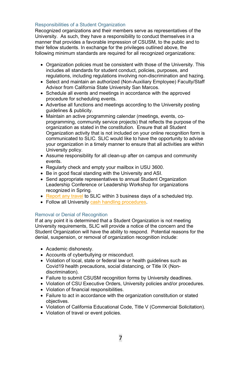## <span id="page-7-0"></span>Responsibilities of a Student Organization

Recognized organizations and their members serve as representatives of the University. As such, they have a responsibility to conduct themselves in a manner that provides a favorable impression of CSUSM, to the public and to their fellow students. In exchange for the privileges outlined above, the following minimum standards are required for all recognized organizations:

- Organization policies must be consistent with those of the University. This includes all standards for student conduct, policies, purposes, and regulations, including regulations involving non-discrimination and hazing.
- Select and maintain an authorized (Non-Auxiliary Employee) Faculty/Staff Advisor from California State University San Marcos.
- Schedule all events and meetings in accordance with the approved procedure for scheduling events.
- Advertise all functions and meetings according to the University posting guidelines & publicity.
- Maintain an active programming calendar (meetings, events, coprogramming, community service projects) that reflects the purpose of the organization as stated in the constitution. Ensure that all Student Organization activity that is not included on your online recognition form is communicated to SLIC. SLIC would like to have the opportunity to advise your organization in a timely manner to ensure that all activities are within University policy.
- Assume responsibility for all clean-up after on campus and community events.
- Regularly check and empty your mailbox in USU 3600.
- Be in good fiscal standing with the University and ASI.
- Send appropriate representatives to annual Student Organization Leadership Conference or Leadership Workshop for organizations recognized in Spring.
- Report any travel to SLIC [within 3 business days of a scheduled trip.](#page-14-2)
- Follow all University [cash handling procedures.](#page-27-2)

#### <span id="page-7-1"></span>Removal or Denial of Recognition

If at any point it is determined that a Student Organization is not meeting University requirements, SLIC will provide a notice of the concern and the Student Organization will have the ability to respond. Potential reasons for the denial, suspension, or removal of organization recognition include:

- Academic dishonesty.
- Accounts of cyberbullying or misconduct.
- Violation of local, state or federal law or health guidelines such as Covid19 health precautions, social distancing, or Title IX (Nondiscrimination).
- Failure to submit CSUSM recognition forms by University deadlines.
- Violation of CSU Executive Orders, University policies and/or procedures.
- Violation of financial responsibilities.
- Failure to act in accordance with the organization constitution or stated objectives.
- Violation of California Educational Code, Title V (Commercial Solicitation).
- Violation of travel or event policies.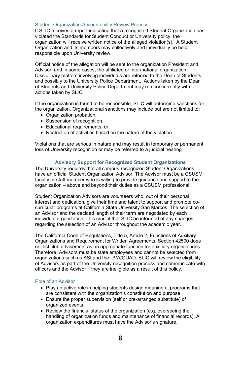#### <span id="page-8-0"></span>Student Organization Accountability Review Process

If SLIC receives a report indicating that a recognized Student Organization has violated the Standards for Student Conduct or University policy, the organization will receive written notice of the alleged violation(s). A Student Organization and its members may collectively and individually be held responsible upon University review.

Official notice of the allegation will be sent to the organization President and Advisor, and in some cases, the affiliated or inter/national organization. Disciplinary matters involving individuals are referred to the Dean of Students, and possibly to the University Police Department. Actions taken by the Dean of Students and University Police Department may run concurrently with actions taken by SLIC.

If the organization is found to be responsible, SLIC will determine sanctions for the organization. Organizational sanctions may include but are not limited to:

- Organization probation,
- Suspension of recognition.
- Educational requirements, or
- Restriction of activities based on the nature of the violation.

<span id="page-8-1"></span>Violations that are serious in nature and may result in temporary or permanent loss of University recognition or may be referred to a judicial hearing.

#### **Advisory Support for Recognized Student Organizations**

The University requires that all campus-recognized Student Organizations have an official Student Organization Advisor. The Advisor must be a CSUSM faculty or staff member who is willing to provide guidance and support to the organization – above and beyond their duties as a CSUSM professional.

Student Organization Advisors are volunteers who, out of their personal interest and dedication, give their time and talent to support and promote cocurricular programs at California State University San Marcos. The selection of an Advisor and the decided length of their term are negotiated by each individual organization. It is crucial that SLIC be informed of any changes regarding the selection of an Advisor throughout the academic year.

The California Code of Regulations, Title 5, Article 2, Functions of Auxiliary Organizations and Requirement for Written Agreements, Section 42500 does not list club advisement as an appropriate function for auxiliary organizations. Therefore, Advisors must be state employees and cannot be selected from organizations such as ASI and the UVA/QUAD. SLIC will review the eligibility of Advisors as part of the University recognition process and communicate with officers and the Advisor if they are ineligible as a result of this policy.

#### <span id="page-8-2"></span>Role of an Advisor

- Play an active role in helping students design meaningful programs that are consistent with the organization's constitution and purpose.
- Ensure the proper supervision (self or pre-arranged substitute) of organized events.
- Review the financial status of the organization (e.g. overseeing the handling of organization funds and maintenance of financial records). All organization expenditures must have the Advisor's signature.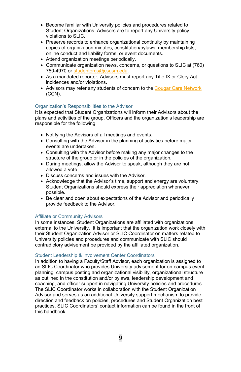- Become familiar with University policies and procedures related to Student Organizations. Advisors are to report any University policy violations to SLIC.
- Preserve records to enhance organizational continuity by maintaining copies of organization minutes, constitution/bylaws, membership lists, online conduct and liability forms, or event documents.
- Attend organization meetings periodically.
- Communicate organization news, concerns, or questions to SLIC at (760) 750-4970 or [studentorgs@csusm.edu.](mailto:studentorgs@csusm.edu)
- As a mandated reporter, Advisors must report any Title IX or Clery Act incidences and/or violations.
- Advisors may refer any students of concern to the [Cougar Care Network](https://www.csusm.edu/ccn/howtorefer/index.html) (CCN).

## <span id="page-9-0"></span>Organization's Responsibilities to the Advisor

It is expected that Student Organizations will inform their Advisors about the plans and activities of the group. Officers and the organization's leadership are responsible for the following:

- Notifying the Advisors of all meetings and events.
- Consulting with the Advisor in the planning of activities before major events are undertaken.
- Consulting with the Advisor before making any major changes to the structure of the group or in the policies of the organization.
- During meetings, allow the Advisor to speak, although they are not allowed a vote.
- Discuss concerns and issues with the Advisor.
- Acknowledge that the Advisor's time, support and energy are voluntary. Student Organizations should express their appreciation whenever possible.
- Be clear and open about expectations of the Advisor and periodically provide feedback to the Advisor.

#### <span id="page-9-1"></span>Affiliate or Community Advisors

In some instances, Student Organizations are affiliated with organizations external to the University. It is important that the organization work closely with their Student Organization Advisor or SLIC Coordinator on matters related to University policies and procedures and communicate with SLIC should contradictory advisement be provided by the affiliated organization.

#### <span id="page-9-2"></span>Student Leadership & Involvement Center Coordinators

In addition to having a Faculty/Staff Advisor, each organization is assigned to an SLIC Coordinator who provides University advisement for on-campus event planning, campus posting and organizational visibility, organizational structure as outlined in the constitution and/or bylaws, leadership development and coaching, and officer support in navigating University policies and procedures. The SLIC Coordinator works in collaboration with the Student Organization Advisor and serves as an additional University support mechanism to provide direction and feedback on policies, procedures and Student Organization best practices. SLIC Coordinators' contact information can be found in the front of this handbook.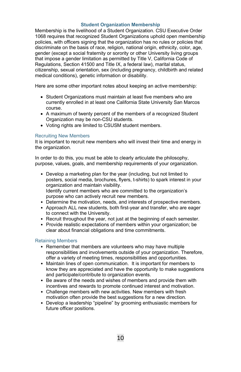## **Student Organization Membership**

<span id="page-10-0"></span>Membership is the livelihood of a Student Organization. CSU Executive Order 1068 requires that recognized Student Organizations uphold open membership policies, with officers signing that the organization has no rules or policies that discriminate on the basis of race, religion, national origin, ethnicity, color, age, gender (except a social fraternity or sorority or other University living groups that impose a gender limitation as permitted by Title V, California Code of Regulations, Section 41500 and Title IX, a federal law), marital status, citizenship, sexual orientation, sex (including pregnancy, childbirth and related medical conditions), genetic information or disability.

Here are some other important notes about keeping an active membership:

- Student Organizations must maintain at least five members who are currently enrolled in at least one California State University San Marcos course.
- A maximum of twenty percent of the members of a recognized Student Organization may be non-CSU students.
- Voting rights are limited to CSUSM student members.

#### <span id="page-10-1"></span>Recruiting New Members

It is important to recruit new members who will invest their time and energy in the organization.

In order to do this, you must be able to clearly articulate the philosophy, purpose, values, goals, and membership requirements of your organization.

- Develop a marketing plan for the year (including, but not limited to posters, social media, brochures, flyers, t-shirts) to spark interest in your organization and maintain visibility. Identify current members who are committed to the organization's purpose who can actively recruit new members.
- Determine the motivation, needs, and interests of prospective members.
- Approach ALL new students, both first-year and transfer, who are eager to connect with the University.
- Recruit throughout the year, not just at the beginning of each semester.
- Provide realistic expectations of members within your organization; be clear about financial obligations and time commitments.

#### <span id="page-10-2"></span>Retaining Members

- Remember that members are volunteers who may have multiple responsibilities and involvements outside of your organization. Therefore, offer a variety of meeting times, responsibilities and opportunities.
- Maintain lines of open communication. It is important for members to know they are appreciated and have the opportunity to make suggestions and participate/contribute to organization events.
- Be aware of the needs and wishes of members and provide them with incentives and rewards to promote continued interest and motivation.
- Challenge members with new activities. New members with fresh motivation often provide the best suggestions for a new direction.
- Develop a leadership "pipeline" by grooming enthusiastic members for future officer positions.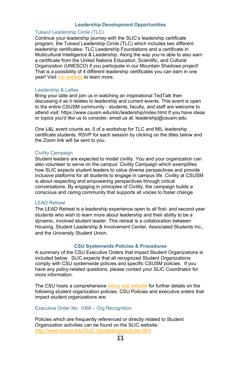#### **Leadership Development Opportunities**

## <span id="page-11-0"></span>Tukwut Leadership Circle (TLC)

Continue your leadership journey with the SLIC's leadership certificate program, the Tukwut Leadership Circle (TLC) which includes two different leadership certificates: TLC Leadership Foundations and a certificate in Multicultural Intelligence & Leadership. Along the way you're able to also earn a certificate from the United Nations Education, Scientific, and Cultural Organization (UNESCO) if you participate in our Mountain Shadows project! That is a possibility of 4 different leadership certificates you can earn in one year! Visit [our website](https://www.csusm.edu/slic/leadership/index.html) to learn more.

#### Leadership & Lattes

Bring your latte and join us in watching an inspirational TedTalk then discussing it as it relates to leadership and current events. This event is open to the entire CSUSM community - students, faculty, and staff are welcome to attend visit: https://www.csusm.edu/slic/leadership/index.html If you have ideas or topics you'd like us to consider, email us at: leadership@csusm.edu

One L&L event counts as .5 of a workshop for TLC and MIL leadership certificate students. RSVP for each session by clicking on the titles below and the Zoom link will be sent to you.

#### Civility Campaign

Student leaders are expected to model civility. You and your organization can also volunteer to serve on the campus' Civility Campaign which exemplifies how SLIC expects student leaders to value diverse perspectives and provide inclusive platforms for all students to engage in campus life. Civility at CSUSM is about respecting and empowering perspectives through critical conversations. By engaging in principles of Civility, the campaign builds a conscious and caring community that supports all voices to foster change.

# <span id="page-11-1"></span>LEAD Retreat

The LEAD Retreat is a leadership experience open to all first- and second-year students who wish to learn more about leadership and their ability to be a dynamic, involved student leader. This retreat is a collaboration between Housing, Student Leadership & Involvement Center, Associated Students Inc., and the University Student Union.

## **CSU Systemwide Policies & Procedures**

<span id="page-11-2"></span>A summary of the CSU Executive Orders that impact Student Organizations is included below. SLIC expects that all recognized Student Organizations comply with CSU systemwide policies and specific CSUSM policies. If you have any policy-related questions, please contact your SLIC Coordinator for more information.

The CSU hosts a comprehensiv[e policy stat website](https://calstate.policystat.com/) for further details on the following student organization policies. CSU Policies and executive orders that impact student organizations are:

#### <span id="page-11-3"></span>Executive Order No. 1068 – Org Recognition

Policies which are frequently referenced or directly related to Student Organization activities can be found on the SLIC website: [http://www.csusm.edu/SLIC /studentorgs/policies.html](http://www.csusm.edu/sll/studentorgs/policies.html)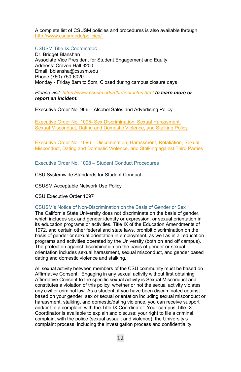A complete list of CSUSM policies and procedures is also available through [http://www.csusm.edu/policies/.](http://www.csusm.edu/policies/)

## <span id="page-12-0"></span>CSUSM Title IX Coordinator**:**

Dr. Bridget Blanshan Associate Vice President for Student Engagement and Equity Address: Craven Hall 3200 Email: bblansha@csusm.edu Phone (760) 750-6020 Monday - Friday 8am to 5pm, Closed during campus closure days

*Please visit[: https://www.csusm.edu/dhr/contactus.html](https://www.csusm.edu/dhr/contactus.html) to learn more or report an incident.* 

Executive Order No. 966 – Alcohol Sales and Advertising Policy

<span id="page-12-1"></span>Executive Order No. 1095- [Sex Discrimination, Sexual Harassment,](http://www.calstate.edu/eo/EO-1095-rev-6-23-15.html)  Sexual [Misconduct, Dating and Domestic Violence, and Stalking Policy](http://www.calstate.edu/eo/EO-1095-rev-6-23-15.html)

<span id="page-12-2"></span>Executive Order No. 1096 – [Discrimination, Harassment, Retaliation, Sexual](https://www.csusm.edu/title9/documents/eo2019/eo-1096-rev-3-29-19.pdf)  [Misconduct, Dating and Domestic Violence, and Stalking against Third Parties](https://www.csusm.edu/title9/documents/eo2019/eo-1096-rev-3-29-19.pdf) 

<span id="page-12-3"></span>Executive Order No. 1098 – Student Conduct Procedures

CSU Systemwide Standards for Student Conduct

CSUSM Acceptable Network Use Policy

CSU Executive Order 1097

#### <span id="page-12-4"></span>CSUSM's Notice of Non-Discrimination on the Basis of Gender or Sex

The California State University does not discriminate on the basis of gender, which includes sex and gender identity or expression, or sexual orientation in its education programs or activities. Title IX of the Education Amendments of 1972, and certain other federal and state laws, prohibit discrimination on the basis of gender or sexual orientation in employment, as well as in all education programs and activities operated by the University (both on and off campus). The protection against discrimination on the basis of gender or sexual orientation includes sexual harassment, sexual misconduct, and gender based dating and domestic violence and stalking.

All sexual activity between members of the CSU community must be based on Affirmative Consent. Engaging in any sexual activity without first obtaining Affirmative Consent to the specific sexual activity is Sexual Misconduct and constitutes a violation of this policy, whether or not the sexual activity violates any civil or criminal law. As a student, if you have been discriminated against based on your gender, sex or sexual orientation including sexual misconduct or harassment, stalking, and domestic/dating violence, you can receive support and/or file a complaint with the Title IX Coordinator. Your campus Title IX Coordinator is available to explain and discuss: your right to file a criminal complaint with the police (sexual assault and violence); the University's complaint process, including the investigation process and confidentiality.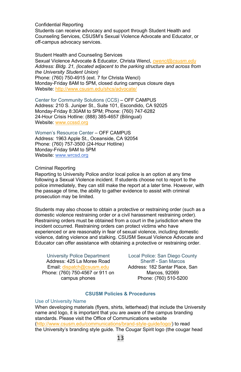<span id="page-13-0"></span>Confidential Reporting

Students can receive advocacy and support through Student Health and Counseling Services, CSUSM's Sexual Violence Advocate and Educator, or off-campus advocacy services.

<span id="page-13-1"></span>Student Health and Counseling Services Sexual Violence Advocate & Educator, Christa Wencl, *[cwencl@csusm.edu](mailto:cwencl@csusm.edu) Address: Bldg. 21, (located adjacent to the parking structure and across from the University Student Union)* Phone: (760) 750-4915 (ext. 7 for Christa Wencl) Monday-Friday 8AM to 5PM, closed during campus closure days Website: <http://www.csusm.edu/shcs/advocate/>

<span id="page-13-2"></span>Center for Community Solutions (CCS) – OFF CAMPUS Address: 210 S. Juniper St., Suite 101, Escondido, CA 92025 Monday-Friday 8:30AM to 5PM; Phone: (760) 747-6282 24-Hour Crisis Hotline: (888) 385-4657 (Bilingual) Website: [www.ccssd.org](http://www.ccssd.org/)

<span id="page-13-3"></span>Women's Resource Center – OFF CAMPUS Address: 1963 Apple St., Oceanside, CA 92054 Phone: (760) 757-3500 (24-Hour Hotline) Monday-Friday 9AM to 5PM Website: [www.wrcsd.org](http://www.wrcsd.org/)

## <span id="page-13-4"></span>Criminal Reporting

Reporting to University Police and/or local police is an option at any time following a Sexual Violence incident. If students choose not to report to the police immediately, they can still make the report at a later time. However, with the passage of time, the ability to gather evidence to assist with criminal prosecution may be limited.

Students may also choose to obtain a protective or restraining order (such as a domestic violence restraining order or a civil harassment restraining order). Restraining orders must be obtained from a court in the jurisdiction where the incident occurred. Restraining orders can protect victims who have experienced or are reasonably in fear of sexual violence, including domestic violence, dating violence and stalking. CSUSM Sexual Violence Advocate and Educator can offer assistance with obtaining a protective or restraining order.

<span id="page-13-5"></span>University Police Department Address: 425 La Moree Road Email[: dispatch@csusm.edu](mailto:dispatch@csusm.edu) Phone: (760) 750-4567 or 911 on campus phones

<span id="page-13-6"></span>Local Police: San Diego County Sheriff - San Marcos Address: 182 Santar Place, San Marcos, 92069 Phone: (760) 510-5200

#### **CSUSM Policies & Procedures**

#### <span id="page-13-7"></span>Use of University Name

When developing materials (flyers, shirts, letterhead) that include the University name and logo, it is important that you are aware of the campus branding standards. Please visit the Office of Communications website [\(http://www.csusm.edu/communications/brand-style-guide/logo/\)](http://www.csusm.edu/communications/brand-style-guide/logo/) to read the University's branding style guide. The Cougar Spirit logo (the cougar head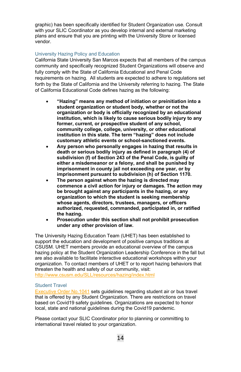graphic) has been specifically identified for Student Organization use. Consult with your SLIC Coordinator as you develop internal and external marketing plans and ensure that you are printing with the University Store or licensed vendor.

## <span id="page-14-0"></span>University Hazing Policy and Education

<span id="page-14-2"></span>California State University San Marcos expects that all members of the campus community and specifically recognized Student Organizations will observe and fully comply with the State of California Educational and Penal Code requirements on hazing. All students are expected to adhere to regulations set forth by the State of California and the University referring to hazing. The [State](https://leginfo.legislature.ca.gov/faces/codes_displaySection.xhtml?sectionNum=245.6.&lawCode=PEN)  [of California Educational Code](https://leginfo.legislature.ca.gov/faces/codes_displaySection.xhtml?sectionNum=245.6.&lawCode=PEN) defines hazing as the following:

- **"Hazing" means any method of initiation or preinitiation into a student organization or student body, whether or not the organization or body is officially recognized by an educational institution, which is likely to cause serious bodily injury to any former, current, or prospective student of any school, community college, college, university, or other educational institution in this state. The term "hazing" does not include customary athletic events or school-sanctioned events.**
- **Any person who personally engages in hazing that results in death or serious bodily injury as defined in paragraph (4) of subdivision (f) of Section 243 of the Penal Code, is guilty of either a misdemeanor or a felony, and shall be punished by imprisonment in county jail not exceeding one year, or by imprisonment pursuant to subdivision (h) of Section 1170.**
- **The person against whom the hazing is directed may commence a civil action for injury or damages. The action may be brought against any participants in the hazing, or any organization to which the student is seeking membership whose agents, directors, trustees, managers, or officers authorized, requested, commanded, participated in, or ratified the hazing.**
- **Prosecution under this section shall not prohibit prosecution under any other provision of law.**

The University Hazing Education Team (UHET) has been established to support the education and development of positive campus traditions at CSUSM. UHET members provide an educational overview of the campus hazing policy at the Student Organization Leadership Conference in the fall but are also available to facilitate interactive educational workshops within your organization. To contact members of UHET or to report hazing behaviors that threaten the health and safety of our community, visit:

[http://www.csusm.edu/SLL/resources/hazing/index.html](http://www.csusm.edu/sll/resources/hazing/index.html)

# <span id="page-14-1"></span>Student Travel

[Executive Order No.1041](http://www.calstate.edu/EO/EO-1041.html) sets guidelines regarding student air or bus travel that is offered by any Student Organization. There are restrictions on travel based on Covid19 safety guidelines. Organizations are expected to honor local, state and national guidelines during the Covid19 pandemic.

Please contact your SLIC Coordinator prior to planning or committing to international travel related to your organization.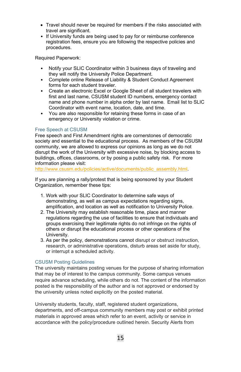- Travel should never be required for members if the risks associated with travel are significant.
- If University funds are being used to pay for or reimburse conference registration fees, ensure you are following the respective policies and procedures.

Required Paperwork:

- Notify your SLIC Coordinator within 3 business days of traveling and they will notify the University Police Department.
- Complete online Release of Liability & Student Conduct Agreement forms for each student traveler.
- Create an electronic Excel or Google Sheet of all student travelers with first and last name, CSUSM student ID numbers, emergency contact name and phone number in alpha order by last name. Email list to SLIC Coordinator with event name, location, date, and time.
- You are also responsible for retaining these forms in case of an emergency or University violation or crime.

## <span id="page-15-0"></span>Free Speech at CSUSM

Free speech and First Amendment rights are cornerstones of democratic society and essential to the educational process. As members of the CSUSM community, we are allowed to express our opinions as long as we do not disrupt the work of the University with excessive noise, by blocking access to buildings, offices, classrooms, or by posing a public safety risk. For more information please visit:

[http://www.csusm.edu/policies/active/documents/public\\_assembly.html.](http://www.csusm.edu/policies/active/documents/public_assembly.html)

If you are planning a rally/protest that is being sponsored by your Student Organization, remember these tips:

- 1. Work with your SLIC Coordinator to determine safe ways of demonstrating, as well as campus expectations regarding signs, amplification, and location as well as notification to University Police.
- 2. The University may establish reasonable time, place and manner regulations regarding the use of facilities to ensure that individuals and groups exercising their legitimate rights do not infringe on the rights of others or disrupt the educational process or other operations of the University.
- 3. As per the policy, demonstrations cannot disrupt or obstruct instruction, research, or administrative operations, disturb areas set aside for study, or interrupt a scheduled activity.

## <span id="page-15-1"></span>CSUSM Posting Guidelines

The university maintains posting venues for the purpose of sharing information that may be of interest to the campus community. Some campus venues require advance scheduling, while others do not. The content of the information posted is the responsibility of the author and is not approved or endorsed by the university unless noted explicitly on the posted material.

University students, faculty, staff, registered student organizations, departments, and off-campus community members may post or exhibit printed materials in approved areas which refer to an event, activity or service in accordance with the policy/procedure outlined herein. Security Alerts from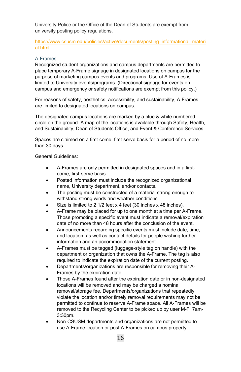University Police or the Office of the Dean of Students are exempt from university posting policy regulations.

# [https://www.csusm.edu/policies/active/documents/posting\\_informational\\_materi](https://www.csusm.edu/policies/active/documents/posting_informational_material.html) [al.html](https://www.csusm.edu/policies/active/documents/posting_informational_material.html)

# <span id="page-16-0"></span>A-Frames

Recognized student organizations and campus departments are permitted to place temporary A-Frame signage in designated locations on campus for the purpose of marketing campus events and programs. Use of A-Frames is limited to University events/programs. (Directional signage for events on campus and emergency or safety notifications are exempt from this policy.)

For reasons of safety, aesthetics, accessibility, and sustainability, A-Frames are limited to designated locations on campus.

The designated campus locations are marked by a blue & white numbered circle on the ground. A map of the locations is available through Safety, Health, and Sustainability, Dean of Students Office, and Event & Conference Services.

Spaces are claimed on a first-come, first-serve basis for a period of no more than 30 days.

General Guidelines:

- A-Frames are only permitted in designated spaces and in a firstcome, first-serve basis.
- Posted information must include the recognized organizational name, University department, and/or contacts.
- The posting must be constructed of a material strong enough to withstand strong winds and weather conditions.
- Size is limited to 2 1/2 feet x 4 feet (30 inches x 48 inches).
- A-Frame may be placed for up to one month at a time per A-Frame. Those promoting a specific event must indicate a removal/expiration date of no more than 48 hours after the conclusion of the event.
- Announcements regarding specific events must include date, time, and location, as well as contact details for people wishing further information and an accommodation statement.
- A-Frames must be tagged (luggage-style tag on handle) with the department or organization that owns the A-Frame. The tag is also required to indicate the expiration date of the current posting.
- Departments/organizations are responsible for removing their A-Frames by the expiration date.
- Those A-Frames found after the expiration date or in non-designated locations will be removed and may be charged a nominal removal/storage fee. Departments/organizations that repeatedly violate the location and/or timely removal requirements may not be permitted to continue to reserve A-Frame space. All A-Frames will be removed to the Recycling Center to be picked up by user M-F, 7am-3:30pm.
- Non-CSUSM departments and organizations are not permitted to use A-Frame location or post A-Frames on campus property.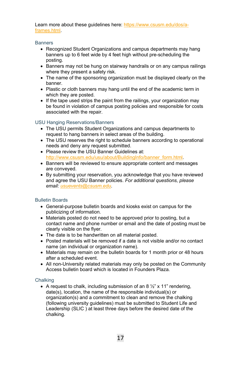Learn more about these guidelines here: [https://www.csusm.edu/dos/a](https://www.csusm.edu/dos/a-frames.html)[frames.html.](https://www.csusm.edu/dos/a-frames.html)

#### <span id="page-17-0"></span>**Banners**

- Recognized Student Organizations and campus departments may hang banners up to 6 feet wide by 4 feet high without pre-scheduling the posting.
- Banners may not be hung on stairway handrails or on any campus railings where they present a safety risk.
- The name of the sponsoring organization must be displayed clearly on the banner.
- Plastic or cloth banners may hang until the end of the academic term in which they are posted.
- If the tape used strips the paint from the railings, your organization may be found in violation of campus posting policies and responsible for costs associated with the repair.

## <span id="page-17-1"></span>USU Hanging Reservations/Banners

- The USU permits Student Organizations and campus departments to request to hang banners in select areas of the building.
- The USU reserves the right to schedule banners according to operational needs and deny any request submitted.
- Please review the USU Banner Guidelines at: http://www.csusm.edu/usu/about/BuildingInfo/banner\_form.html
- Banners will be reviewed to ensure appropriate content and messages are conveyed.
- By submitting your reservation, you acknowledge that you have reviewed and agree the USU Banner policies. *For additional questions, please email[: usuevents@csusm.edu.](mailto:usuevents@csusm.edu)*

## <span id="page-17-2"></span>Bulletin Boards

- General-purpose bulletin boards and kiosks exist on campus for the publicizing of information.
- Materials posted do not need to be approved prior to posting, but a contact name and phone number or email and the date of posting must be clearly visible on the flyer.
- The date is to be handwritten on all material posted.
- Posted materials will be removed if a date is not visible and/or no contact name (an individual or organization name).
- Materials may remain on the bulletin boards for 1 month prior or 48 hours after a scheduled event.
- All non-University related materials may only be posted on the Community Access bulletin board which is located in Founders Plaza.

## <span id="page-17-3"></span>**Chalking**

• A request to chalk, including submission of an 8  $\frac{1}{2}$ " x 11" rendering, date(s), location, the name of the responsible individual(s) or organization(s) and a commitment to clean and remove the chalking (following university guidelines) must be submitted to Student Life and Leadership (SLIC ) at least three days before the desired date of the chalking.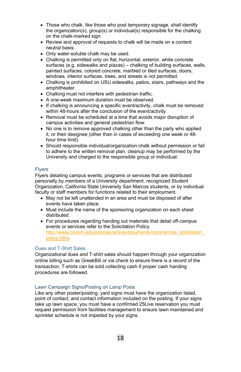- Those who chalk, like those who post temporary signage, shall identify the organization(s), group(s) or individual(s) responsible for the chalking on the chalk-marked sign.
- Review and approval of requests to chalk will be made on a content neutral basis.
- Only water-soluble chalk may be used.
- Chalking is permitted only on flat, horizontal, exterior, white concrete surfaces (e.g. sidewalks and plazas) – chalking of building surfaces, walls, painted surfaces, colored concrete, marbled or tiled surfaces, doors, windows, interior surfaces, trees, and streets is not permitted.
- Chalking is prohibited on USU sidewalks, patios, stairs, pathways and the amphitheater.
- Chalking must not interfere with pedestrian traffic.
- A one-week maximum duration must be observed.
- If chalking is announcing a specific event/activity, chalk must be removed within 48-hours after the conclusion of the event/activity.
- Removal must be scheduled at a time that avoids major disruption of campus activities and general pedestrian flow.
- No one is to remove approved chalking other than the party who applied it, or their designee (other than in cases of exceeding one week or 48 hour time limit).
- Should responsible individual/organization chalk without permission or fail to adhere to the written removal plan, cleanup may be performed by the University and charged to the responsible group or individual.

#### <span id="page-18-0"></span>Flyers

Flyers detailing campus events, programs or services that are distributed personally by members of a University department, recognized Student Organization, California State University San Marcos students, or by individual faculty or staff members for functions related to their employment.

- May not be left unattended in an area and must be disposed of after events have taken place.
- Must include the name of the sponsoring organization on each sheet distributed.
- For procedures regarding handing out materials that detail off-campus events or services refer to the Solicitation Policy http://www.csusm.edu/policies/active/documents/commercial\_solicitation [policy.html.](http://www.csusm.edu/policies/active/documents/commercial_solicitation_policy.html)

# Dues and T-Shirt Sales

Organizational dues and T-shirt sales should happen through your organization online billing such as GreekBill or via check to ensure there is a record of the transaction. T-shirts can be sold collecting cash if proper cash handing procedures are followed.

## <span id="page-18-1"></span>Lawn Campaign Signs/Posting on Lamp Posts

Like any other poster/posting, yard signs must have the organization listed, point of contact, and contact information included on the posting. If your signs take up lawn space, you must have a confirmed 25Live reservation you must request permission from facilities management to ensure lawn maintained and sprinkler schedule is not impeded by your signs.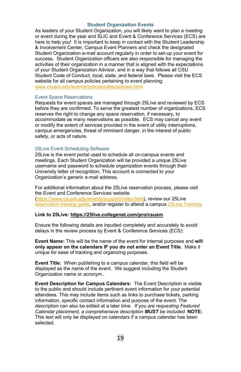#### **Student Organization Events**

<span id="page-19-0"></span>As leaders of your Student Organization, you will likely want to plan a meeting or event during the year and SLIC and Event & Conference Services (ECS) are here to help you! It is important to keep in contact with the Student Leadership & Involvement Center, Campus Event Planners and check the designated Student Organization e-mail account regularly in order to set-up your event for success. Student Organization officers are also responsible for managing the activities of their organization in a manner that is aligned with the expectations of your Student Organization Advisor, and in a way that follows all CSU Student Code of Conduct, local, state, and federal laws. Please visit the ECS website for all campus policies pertaining to event planning: [www.csusm.edu/events/policiesrates/policies.html](http://www.csusm.edu/events/policiesrates/policies.html)

#### Event Space Reservations

Requests for event spaces are managed through 25Live and reviewed by ECS before they are confirmed. To serve the greatest number of organizations, ECS reserves the right to change any space reservation, if necessary, to accommodate as many reservations as possible. ECS may cancel any event or modify the extent of services provided in the event of utility interruptions, campus emergencies, threat of imminent danger, in the interest of public safety, or acts of nature.

#### <span id="page-19-1"></span>25Live Event Scheduling Software

25Live is the event portal used to schedule all on-campus events and meetings. Each Student Organization will be provided a unique 25Live username and password to schedule organization events through their University letter of recognition. This account is connected to your Organization's generic e-mail address.

For additional information about the 25Live reservation process, please visit the Event and Conference Services website [\(https://www.csusm.edu/events/support/index.html\)](https://www.csusm.edu/events/support/index.html), review our 25Live [reservation training guide,](https://www.csusm.edu/events/support/25liveprotraining.pdf) and/or register to attend a campus [25Live Training.](https://www.csusm.edu/events/support/training.html) 

#### **Link to 25Live:<https://25live.collegenet.com/pro/csusm>**

Ensure the following details are inputted completely and accurately to avoid delays in the review process by Event & Conference Services (ECS):

**Event Name:** This will be the name of the event for internal purposes and **will only appear on the calendars IF you do not enter an Event Title.** Make it unique for ease of tracking and organizing purposes.

**Event Title:** When publishing to a campus calendar, this field will be displayed as the name of the event. We suggest including the Student Organization name or acronym..

**Event Description for Campus Calendars:** The Event Description is visible to the public and should include pertinent event information for your potential attendees. This may include items such as links to purchase tickets, parking information, specific contact information and purpose of the event. The description can also be edited at a later time. *If you are requesting Featured Calendar placement, a comprehensive description MUST be included.* **NOTE:** This text will only be displayed on calendars if a campus calendar has been selected.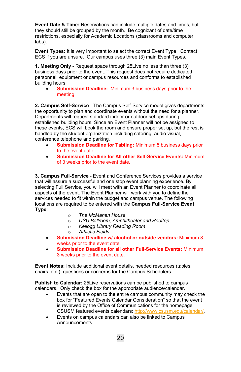**Event Date & Time:** Reservations can include multiple dates and times, but they should still be grouped by the month. Be cognizant of date/time restrictions, especially for Academic Locations (classrooms and computer labs).

**Event Types:** It is very important to select the correct Event Type. Contact ECS if you are unsure. Our campus uses three (3) main Event Types.

**1. Meeting Only** - Request space through 25Live no less than three (3) business days prior to the event. This request does not require dedicated personnel, equipment or campus resources and conforms to established building hours.

• **Submission Deadline:** Minimum 3 business days prior to the meeting.

**2. Campus Self-Service** - The Campus Self-Service model gives departments the opportunity to plan and coordinate events without the need for a planner. Departments will request standard indoor or outdoor set ups during established building hours. Since an Event Planner will not be assigned to these events, ECS will book the room and ensure proper set up, but the rest is handled by the student organization including catering, audio visual, conference telephone and parking.

- **Submission Deadline for Tabling:** Minimum 5 business days prior to the event date.
- **Submission Deadline for All other Self-Service Events:** Minimum of 3 weeks prior to the event date.

**3. Campus Full-Service** - Event and Conference Services provides a service that will assure a successful and one stop event planning experience. By selecting Full Service, you will meet with an Event Planner to coordinate all aspects of the event. The Event Planner will work with you to define the services needed to fit within the budget and campus venue. The following locations are required to be entered with the **Campus Full-Service Event Type**:

- 
- o *The McMahan House*  o *USU Ballroom, Amphitheater and Rooftop*
- o *Kellogg Library Reading Room*
- o *Athletic Fields*
- **Submission Deadline w/ alcohol or outside vendors:** Minimum 8 weeks prior to the event date.
- **Submission Deadline for all other Full-Service Events:** Minimum 3 weeks prior to the event date.

**Event Notes:** Include additional event details, needed resources (tables, chairs, etc.), questions or concerns for the Campus Schedulers.

**Publish to Calendar:** 25Live reservations can be published to campus calendars. Only check the box for the appropriate audience/calendar.

- Events that are open to the entire campus community may check the box for "Featured Events Calendar Consideration" so that the event is reviewed by the Office of Communications for the homepage CSUSM featured events calendars[: http://www.csusm.edu/calendar/.](http://www.csusm.edu/calendar/)
- Events on campus calendars can also be linked to Campus **Announcements**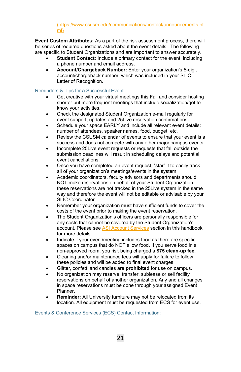(https://www.csusm.edu/communications/contact/announcements.ht ml)

**Event Custom Attributes:** As a part of the risk assessment process, there will be series of required questions asked about the event details. The following are specific to Student Organizations and are important to answer accurately.

- **Student Contact:** Include a primary contact for the event, including a phone number and email address.
- **Account/Chargeback Number:** Enter your organization's 5-digit account/chargeback number, which was included in your SLIC Letter of Recognition.

# <span id="page-21-0"></span>Reminders & Tips for a Successful Event

- Get creative with your virtual meetings this Fall and consider hosting shorter but more frequent meetings that include socialization/get to know your activities.
- Check the designated Student Organization e-mail regularly for event support, updates and 25Live reservation confirmations**.**
- Schedule your space EARLY and include all relevant event details: number of attendees, speaker names, food, budget, etc.
- Review the CSUSM calendar of events to ensure that your event is a success and does not compete with any other major campus events.
- Incomplete 25Live event requests or requests that fall outside the submission deadlines will result in scheduling delays and potential event cancellations.
- Once you have completed an event request, "star" it to easily track all of your organization's meetings/events in the system.
- Academic coordinators, faculty advisors and departments should NOT make reservations on behalf of your Student Organization these reservations are not tracked in the 25Live system in the same way and therefore the event will not be editable or advisable by your SLIC Coordinator.
- Remember your organization must have sufficient funds to cover the costs of the event prior to making the event reservation.
- The Student Organization's officers are personally responsible for any costs that cannot be covered by the Student Organization's account. Please see ASI Account Services section in this handbook for more details.
- Indicate if your event/meeting includes food as there are specific spaces on campus that do NOT allow food. If you serve food in a non-approved room, you risk being charged a **\$75 clean-up fee.**
- Cleaning and/or maintenance fees will apply for failure to follow these policies and will be added to final event charges.
- Glitter, confetti and candles are **prohibited** for use on campus.
- No organization may reserve, transfer, sublease or sell facility reservations on behalf of another organization. Any and all changes in space reservations must be done through your assigned Event Planner.
- **Reminder:** All University furniture may not be relocated from its location. All equipment must be requested from ECS for event use.

<span id="page-21-1"></span>Events & Conference Services (ECS) Contact Information: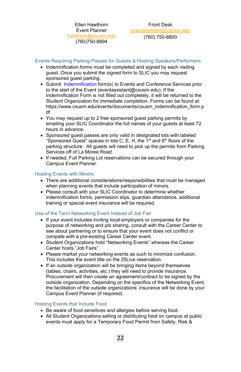Ellen Hawthorn Event Planner [hawthorn@](mailto:hawthorn)csusm.edu (760)750-8894

<span id="page-22-0"></span>Front Desk [eventassistant@csusm.edu](mailto:eventassistant@csusm.edu)

(760) 750-8800

<span id="page-22-1"></span>Events Requiring Parking Passes for Guests & Hosting Speakers/Performers

- Indemnification forms must be completed and signed by each visiting guest. Once you submit the signed form to SLIC you may request sponsored guest parking.
- Submit [Indemnification](https://www.csusm.edu/events/documents/csusm_indemnification_form.pdf) form(s) to Events and Conference Services prior to the start of the Event [\(eventassistant@csusm.edu\)](mailto:%20eventassistant@csusm.edu). If the Indemnification Form is not filled out completely, it will be returned to the Student Organization for immediate completion. Forms can be found at: [https://www.csusm.edu/events/documents/csusm\\_indemnification\\_form.p](https://www.csusm.edu/events/documents/csusm_indemnification_form.pdf) [df](https://www.csusm.edu/events/documents/csusm_indemnification_form.pdf)
- You may request up to 2 free sponsored guest parking permits by emailing your SLIC Coordinator the full names of your guests at least 72 hours in advance.
- Sponsored guest passes are only valid in designated lots with labeled "Sponsored Guest" spaces in lots C, E, H, the  $1<sup>st</sup>$  and  $6<sup>th</sup>$  floors of the parking structure. All guests will need to pick up the permits from Parking Services off of La Moree Road.
- If needed, Full Parking Lot reservations can be secured through your Campus Event Planner.

## <span id="page-22-2"></span>Hosting Events with Minors

- There are additional considerations/responsibilities that must be managed when planning events that include participation of minors.
- Please consult with your SLIC Coordinator to determine whether indemnification forms, permission slips, guardian attendance, additional training or special event insurance will be required.

## <span id="page-22-3"></span>Use of the Term Networking Event Instead of Job Fair

- If your event includes inviting local employers or companies for the purpose of networking and job sharing, consult with the Career Center to see about partnering or to ensure that your event does not conflict or compete with a pre-existing Career Center event.
- Student Organizations hold "Networking Events" whereas the Career Center hosts "Job Fairs".
- Please market your networking events as such to minimize confusion. This includes the event title on the 25Live reservation.
- If an outside organization will be bringing items beyond themselves (tables, chairs, activities, etc.) they will need to provide insurance. Procurement will then create an agreement/contract to be signed by the outside organization. Depending on the specifics of the Networking Event, the facilitation of the outside organizations' insurance will be done by your Campus Event Planner (if required).

#### <span id="page-22-4"></span>Hosting Events that Include Food

- Be aware of food sensitives and allergies before serving food.
- All Student Organizations selling or distributing food on campus at public events must apply for a Temporary Food Permit from Safety, Risk &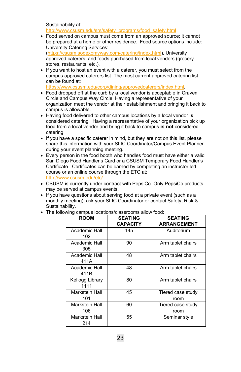Sustainability at: [http://www.csusm.edu/srs/safety\\_programs/food\\_safety.html](http://www.csusm.edu/srs/safety_programs/food_safety.html)

- Food served on campus must come from an approved source; it cannot be prepared at a home or other residence. Food source options include: University Catering Services: [\(https://csusm.sodexomyway.com/catering/index.html\)](https://csusm.sodexomyway.com/catering/index.html), University approved caterers, and foods purchased from local vendors (grocery stores, restaurants, etc.).
- If you want to host an event with a caterer, you must select from the campus approved caterers list. The most current approved catering list can be found at: [https://www.csusm.edu/corp/dining/approvedcaterers/index.html.](https://www.csusm.edu/corp/dining/approvedcaterers/index.html)
- Food dropped off at the curb by a local vendor is acceptable in Craven Circle and Campus Way Circle. Having a representative of your organization meet the vendor at their establishment and bringing it back to campus is allowable.
- Having food delivered to other campus locations by a local vendor **is** considered catering. Having a representative of your organization pick up food from a local vendor and bring it back to campus **is not** considered catering.
- If you have a specific caterer in mind, but they are not on this list, please share this information with your SLIC Coordinator/Campus Event Planner during your event planning meeting.
- Every person in the food booth who handles food must have either a valid San Diego Food Handler's Card or a CSUSM Temporary Food Handler's Certificate. Certificates can be earned by completing an instructor led course or an online course through the ETC at: [http://www.csusm.edu/etc/.](http://www.csusm.edu/etc/)
- CSUSM is currently under contract with PepsiCo. Only PepsiCo products may be served at campus events.
- If you have questions about serving food at a private event (such as a monthly meeting), ask your SLIC Coordinator or contact Safety, Risk & Sustainability.

| <b>ROOM</b>             | <b>SEATING</b>  | <b>SEATING</b>            |
|-------------------------|-----------------|---------------------------|
|                         | <b>CAPACITY</b> | <b>ARRANGEMENT</b>        |
| Academic Hall<br>102    | 145             | Auditorium                |
| Academic Hall<br>305    | 90              | Arm tablet chairs         |
| Academic Hall<br>411A   | 48              | Arm tablet chairs         |
| Academic Hall<br>411B   | 48              | Arm tablet chairs         |
| Kellogg Library<br>1111 | 80              | Arm tablet chairs         |
| Markstein Hall<br>101   | 45              | Tiered case study<br>room |
| Markstein Hall<br>106   | 60              | Tiered case study<br>room |
| Markstein Hall<br>214   | 55              | Seminar style             |

• The following campus locations/classrooms allow food: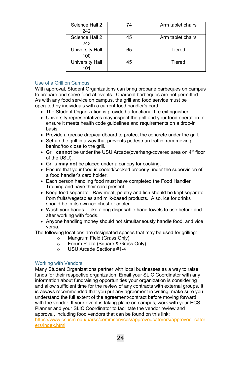| Science Hall 2<br>242  | 74 | Arm tablet chairs |
|------------------------|----|-------------------|
| Science Hall 2<br>243  | 45 | Arm tablet chairs |
| University Hall<br>100 | 65 | Tiered            |
| University Hall<br>101 | 45 | Tiered            |

# <span id="page-24-0"></span>Use of a Grill on Campus

With approval, Student Organizations can bring propane barbeques on campus to prepare and serve food at events. Charcoal barbeques are not permitted. As with any food service on campus, the grill and food service must be operated by individuals with a current food handler's card.

- The Student Organization is provided a functional fire extinguisher.
- University representatives may inspect the grill and your food operation to ensure it meets health code guidelines and requirements on a drop-in basis.
- Provide a grease drop/cardboard to protect the concrete under the grill.
- Set up the grill in a way that prevents pedestrian traffic from moving behind/too close to the grill.
- Grill **cannot** be under the USU Arcade(overhang/covered area on 4<sup>th</sup> floor of the USU).
- Grills **may not** be placed under a canopy for cooking.
- Ensure that your food is cooled/cooked properly under the supervision of a food handler's card holder.
- Each person handling food must have completed the Food Handler Training and have their card present.
- Keep food separate. Raw meat, poultry and fish should be kept separate from fruits/vegetables and milk-based products. Also, ice for drinks should be in its own ice chest or cooler.
- Wash your hands. Take along disposable hand towels to use before and after working with foods.
- Anyone handling money should not simultaneously handle food, and vice versa.

The following locations are designated spaces that may be used for grilling:

- o Mangrum Field (Grass Only)<br> **O** Forum Plaza (Square & Gras
- o Forum Plaza (Square & Grass Only)<br>○ USU Arcade Sections #1-4
- USU Arcade Sections #1-4

## <span id="page-24-1"></span>Working with Vendors

Many Student Organizations partner with local businesses as a way to raise funds for their respective organization. Email your SLIC Coordinator with any information about fundraising opportunities your organization is considering and allow sufficient time for the review of any contracts with external groups. It is always recommended that you put any agreement in writing; make sure you understand the full extent of the agreement/contract before moving forward with the vendor. If your event is taking place on campus, work with your ECS Planner and your SLIC Coordinator to facilitate the vendor review and approval, including food vendors that can be found on this link:

[https://www.csusm.edu/uarsc/commservices/approvedcaterers/approved\\_cater](https://www.csusm.edu/uarsc/commservices/approvedcaterers/approved_caterers/index.html) [ers/index.html](https://www.csusm.edu/uarsc/commservices/approvedcaterers/approved_caterers/index.html)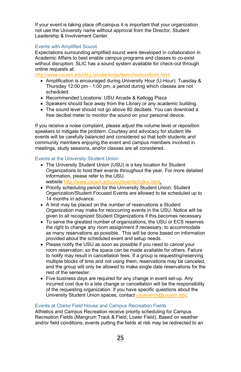If your event is taking place off-campus it is important that your organization not use the University name without approval from the Director, Student Leadership & Involvement Center.

# <span id="page-25-0"></span>Events with Amplified Sound

Expectations surrounding amplified sound were developed in collaboration in Academic Affairs to best enable campus programs and classes to co-exist without disruption. SLIC has a sound system available for check-out through online requests at:

[http://www.csusm.edu/SLL/studentorgs/itemcheckoutform.html.](http://www.csusm.edu/sll/studentorgs/itemcheckoutform.html)

- Amplification is encouraged during University Hour (U-Hour): Tuesday & Thursday 12:00 pm - 1:00 pm, a period during which classes are not scheduled.
- Recommended Locations: USU Arcade & Kellogg Plaza
- Speakers should face away from the Library or any academic building.
- The sound level should not go above 80 decibels. You can download a free decibel meter to monitor the sound on your personal device.

If you receive a noise complaint, please adjust the volume level or reposition speakers to mitigate the problem. Courtesy and advocacy for student life events will be carefully balanced and considered so that both students and community members enjoying the event and campus members involved in meetings, study sessions, and/or classes are all considered.

## <span id="page-25-1"></span>Events at the University Student Union

- The University Student Union (USU) is a key location for Student Organizations to host their events throughout the year. For more detailed information, please refer to the USU. website [http://www.csusm.edu/usu/events/index.html.](http://www.csusm.edu/usu/events/index.html)
- Priority scheduling period for the University Student Union: Student Organization/Student Focused Events are allowed to be scheduled up to 14 months in advance.
- A limit may be placed on the number of reservations a Student Organization may make for reoccurring events in the USU. Notice will be given to all recognized Student Organizations if this becomes necessary.
- To serve the greatest number of organizations, the USU or ECS reserves the right to change any room assignment if necessary, to accommodate as many reservations as possible. This will be done based on information provided about the scheduled event and setup needs.
- Please notify the USU as soon as possible if you need to cancel your room reservation, so the space can be made available for others. Failure to notify may result in cancellation fees. If a group is requesting/reserving multiple blocks of time and not using them, reservations may be canceled, and the group will only be allowed to make single date reservations for the rest of the semester.
- Five business days are required for any change in event set-up. Any incurred cost due to a late change or cancellation will be the responsibility of the requesting organization. If you have specific questions about the University Student Union spaces, contac[t usuevents@csusm.edu.](mailto:usuevents@csusm.edu)

# <span id="page-25-2"></span>Events at Clarke Field House and Campus Recreation Fields

Athletics and Campus Recreation receive priority scheduling for Campus Recreation Fields (Mangrum Track & Field, Lower Field). Based on weather and/or field conditions, events putting the fields at risk may be redirected to an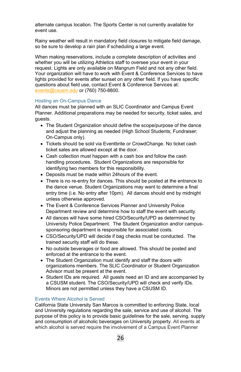alternate campus location. The Sports Center is not currently available for event use.

Rainy weather will result in mandatory field closures to mitigate field damage, so be sure to develop a rain plan if scheduling a large event.

When making reservations, include a complete description of activities and whether you will be utilizing Athletics staff to oversee your event in your request. Lights are only available on Mangrum Field and not any other field. Your organization will have to work with Event & Conference Services to have lights provided for events after sunset on any other field. If you have specific questions about field use, contact Event & Conference Services at: [events@csusm.edu](mailto:events@csusm.edu) or (760) 750-8800.

# <span id="page-26-0"></span>Hosting an On-Campus Dance

All dances must be planned with an SLIC Coordinator and Campus Event Planner. Additional preparations may be needed for security, ticket sales, and guests.

- The Student Organization should define the scope/purpose of the dance and adjust the planning as needed (High School Students; Fundraiser; On-Campus only).
- Tickets should be sold via Eventbrite or CrowdChange. No ticket cash ticket sales are allowed except at the door.
- Cash collection must happen with a cash box and follow the cash handling procedures. Student Organizations are responsible for identifying two members for this responsibility.
- Deposits must be made within 24hours of the event.
- There is no re-entry for dances. This should be posted at the entrance to the dance venue. Student Organizations may want to determine a final entry time (i.e. No entry after 10pm). All dances should end by midnight unless otherwise approved.
- The Event & Conference Services Planner and University Police Department review and determine how to staff the event with security.
- All dances will have some hired CSO/Security/UPD as determined by University Police Department. The Student Organization and/or campussponsoring department is responsible for associated costs.
- CSO/Security/UPD will decide if bag checks must be conducted. The trained security staff will do these.
- No outside beverages or food are allowed. This should be posted and enforced at the entrance to the event.
- The Student Organization must identify and staff the doors with organizations members. The SLIC Coordinator or Student Organization Advisor must be present at the event.
- Student IDs are required. All guests need an ID and are accompanied by a CSUSM student. The CSO/Security/UPD will check and verify IDs. Minors are not permitted unless they have a CSUSM ID.

#### <span id="page-26-1"></span>Events Where Alcohol is Served

California State University San Marcos is committed to enforcing State, local and University regulations regarding the sale, service and use of alcohol. The purpose of this policy is to provide basic guidelines for the sale, serving, supply and consumption of alcoholic beverages on University property. All events at which alcohol is served require the involvement of a Campus Event Planner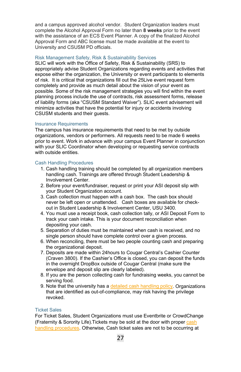and a campus approved alcohol vendor. Student Organization leaders must complete the Alcohol Approval Form no later than **8 weeks** prior to the event with the assistance of an ECS Event Planner. A copy of the finalized Alcohol Approval Form and ABC license must be made available at the event to University and CSUSM PD officials.

#### <span id="page-27-0"></span>Risk Management Safety, Risk & Sustainability Services

SLIC will work with the Office of Safety, Risk & Sustainability (SRS) to appropriately advise Student Organizations regarding events and activities that expose either the organization, the University or event participants to elements of risk. It is critical that organizations fill out the 25Live event request form completely and provide as much detail about the vision of your event as possible. Some of the risk management strategies you will find within the event planning process include the use of contracts, risk assessment forms, release of liability forms (aka "CSUSM Standard Waiver"). SLIC event advisement will minimize activities that have the potential for injury or accidents involving CSUSM students and their guests.

#### <span id="page-27-1"></span>Insurance Requirements

The campus has insurance requirements that need to be met by outside organizations, vendors or performers. All requests need to be made 6 weeks prior to event. Work in advance with your campus Event Planner in conjunction with your SLIC Coordinator when developing or requesting service contracts with outside entities.

#### <span id="page-27-2"></span>Cash Handling Procedures

- 1. Cash handling training should be completed by all organization members handling cash. Trainings are offered through Student Leadership & Involvement Center.
- 2. Before your event/fundraiser, request or print your ASI deposit slip with your Student Organization account.
- 3. Cash collection must happen with a cash box. The cash box should never be left open or unattended. Cash boxes are available for checkout in Student Leadership & Involvement Center, USU 3400.
- 4. You must use a receipt book, cash collection tally, or ASI Deposit Form to track your cash intake. This is your document reconciliation when depositing your cash.
- 5. Separation of duties must be maintained when cash is received, and no single person should have complete control over a given process.
- 6. When reconciling, there must be two people counting cash and preparing the organizational deposit.
- 7. Deposits are made within 24hours to Cougar Central's Cashier Counter (Craven 3800). If the Cashier's Office is closed, you can deposit the funds in the overnight DropBox outside of Cougar Central (make sure the envelope and deposit slip are clearly labeled).
- 8. If you are the person collecting cash for fundraising weeks, you cannot be serving food.
- 9. Note that the university has a [detailed cash handling policy.](https://www.csusm.edu/policies/active/pdf/university_cash_handling.pdf) Organizations that are identified as out-of-compliance, may risk having the privilege revoked.

#### <span id="page-27-3"></span>Ticket Sales

For Ticket Sales, Student Organizations must use Eventbrite or CrowdChange (Fraternity & Sorority Life).Tickets may be sold at the door with prope[r cash](#page-27-2)  [handling procedures.](#page-27-2) Otherwise, Cash ticket sales are not to be occurring at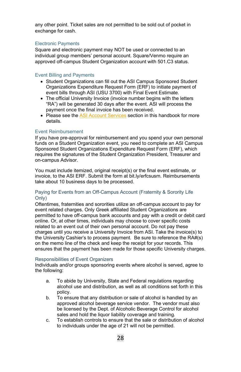any other point. Ticket sales are not permitted to be sold out of pocket in exchange for cash.

#### <span id="page-28-0"></span>Electronic Payments

Square and electronic payment may NOT be used or connected to an individual group members' personal account. Square/Venmo require an approved off-campus Student Organization account with 501.C3 status.

## <span id="page-28-1"></span>Event Billing and Payments

- Student Organizations can fill out the ASI Campus Sponsored Student Organizations Expenditure Request Form (ERF) to initiate payment of event bills through ASI (USU 3700) with Final Event Estimate.
- The official University Invoice (invoice number begins with the letters "RA") will be generated 30 days after the event. ASI will process the payment once the final invoice has been received.
- Please see th[e ASI Account Services](#page-31-0) section in this handbook for more details.

#### <span id="page-28-2"></span>Event Reimbursement

If you have pre-approval for reimbursement and you spend your own personal funds on a Student Organization event, you need to complete an ASI Campus Sponsored Student Organizations Expenditure Request Form (ERF), which requires the signatures of the Student Organization President, Treasurer and on-campus Advisor.

You must include itemized, original receipt(s) or the final event estimate, or invoice, to the ASI ERF. Submit the form at bit.ly/erfcsusm. Reimbursements take about 10 business days to be processed.

## <span id="page-28-3"></span>Paying for Events from an Off-Campus Account (Fraternity & Sorority Life Only)

Oftentimes, fraternities and sororities utilize an off-campus account to pay for event related charges. Only Greek affiliated Student Organizations are permitted to have off-campus bank accounts and pay with a credit or debit card online. Or, at other times, individuals may choose to cover specific costs related to an event out of their own personal account. Do not pay these charges until you receive a University Invoice from ASI. Take the invoice(s) to the University Cashier's to process payment. Be sure to reference the RA#(s) on the memo line of the check and keep the receipt for your records. This ensures that the payment has been made for those specific University charges.

#### <span id="page-28-4"></span>Responsibilities of Event Organizers

Individuals and/or groups sponsoring events where alcohol is served, agree to the following:

- a. To abide by University, State and Federal regulations regarding alcohol use and distribution, as well as all conditions set forth in this policy.
- b. To ensure that any distribution or sale of alcohol is handled by an approved alcohol beverage service vendor. The vendor must also be licensed by the Dept. of Alcoholic Beverage Control for alcohol sales and hold the liquor liability coverage and training.
- c. To establish controls to ensure that the sale or distribution of alcohol to individuals under the age of 21 will not be permitted.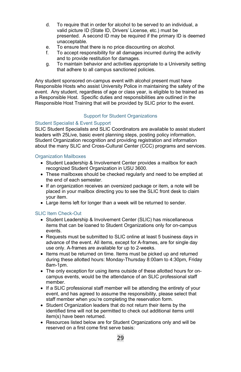- d. To require that in order for alcohol to be served to an individual, a valid picture ID (State ID, Drivers' License, etc.) must be presented. A second ID may be required if the primary ID is deemed unacceptable.
- e. To ensure that there is no price discounting on alcohol.<br>f To accept responsibility for all damages incurred during
- To accept responsibility for all damages incurred during the activity and to provide restitution for damages.
- g. To maintain behavior and activities appropriate to a University setting that adhere to all campus sanctioned policies.

Any student sponsored on-campus event with alcohol present must have Responsible Hosts who assist University Police in maintaining the safety of the event. Any student, regardless of age or class year, is eligible to be trained as a Responsible Host. Specific duties and responsibilities are outlined in the Responsible Host Training that will be provided by SLIC prior to the event.

# Support for Student Organizations

# <span id="page-29-1"></span><span id="page-29-0"></span>Student Specialist & Event Support

SLIC Student Specialists and SLIC Coordinators are available to assist student leaders with 25Live, basic event planning steps, posting policy information, Student Organization recognition and providing registration and information about the many SLIC and Cross-Cultural Center (CCC) programs and services.

## <span id="page-29-2"></span>Organization Mailboxes

- Student Leadership & Involvement Center provides a mailbox for each recognized Student Organization in USU 3600.
- These mailboxes should be checked regularly and need to be emptied at the end of each semester.
- If an organization receives an oversized package or item, a note will be placed in your mailbox directing you to see the SLIC front desk to claim your item.
- Large items left for longer than a week will be returned to sender.

## <span id="page-29-3"></span>SLIC Item Check-Out

- Student Leadership & Involvement Center (SLIC) has miscellaneous items that can be loaned to Student Organizations only for on-campus events.
- Requests must be submitted to SLIC online at least 5 business days in advance of the event. All items, except for A-frames, are for single day use only. A-frames are available for up to 2-weeks.
- Items must be returned on time. Items must be picked up and returned during these allotted hours: Monday-Thursday 8:00am to 4:30pm, Friday 8am-1pm.
- The only exception for using items outside of these allotted hours for oncampus events, would be the attendance of an SLIC professional staff member.
- If a SLIC professional staff member will be attending the entirety of your event, and has agreed to assume the responsibility, please select that staff member when you're completing the reservation form.
- Student Organization leaders that do not return their items by the identified time will not be permitted to check out additional items until item(s) have been returned.
- Resources listed below are for Student Organizations only and will be reserved on a first come first serve basis: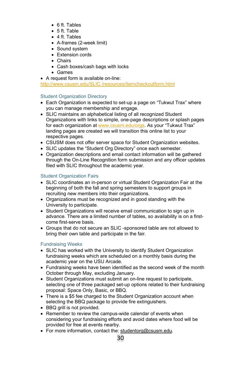- 6 ft. Tables
- 5 ft. Table
- 4 ft. Tables
- A-frames (2-week limit)
- Sound system
- Extension cords
- Chairs
- Cash boxes/cash bags with locks
- Games
- A request form is available on-line:

[http://www.csusm.edu/SLIC /resources/itemcheckoutform.html](http://www.csusm.edu/sll/resources/itemcheckoutform.html)

# <span id="page-30-0"></span>Student Organization Directory

- Each Organization is expected to set-up a page on "Tukwut Trax" where you can manage membership and engage.
- SLIC maintains an alphabetical listing of all recognized Student Organizations with links to simple, one-page descriptions or splash pages for each organization a[t www.csusm.edu/orgs.](http://www.csusm.edu/orgs) As your "Tukwut Trax" landing pages are created we will transition this online list to your respective pages.
- CSUSM does not offer server space for Student Organization websites.
- SLIC updates the "Student Org Directory" once each semester.
- Organization descriptions and email contact information will be gathered through the On-Line Recognition form submission and any officer updates filed with SLIC throughout the academic year.

# <span id="page-30-1"></span>Student Organization Fairs

- SLIC coordinates an in-person or virtual Student Organization Fair at the beginning of both the fall and spring semesters to support groups in recruiting new members into their organizations.
- Organizations must be recognized and in good standing with the University to participate.
- Student Organizations will receive email communication to sign up in advance. There are a limited number of tables, so availability is on a firstcome first-serve basis.
- Groups that do not secure an SLIC -sponsored table are not allowed to bring their own table and participate in the fair.

## <span id="page-30-2"></span>Fundraising Weeks

- SLIC has worked with the University to identify Student Organization fundraising weeks which are scheduled on a monthly basis during the academic year on the USU Arcade.
- Fundraising weeks have been identified as the second week of the month October through May, excluding January.
- Student Organizations must submit an on-line request to participate. selecting one of three packaged set-up options related to their fundraising proposal: Space Only, Basic, or BBQ.
- There is a \$5 fee charged to the Student Organization account when selecting the BBQ package to provide fire extinguishers.
- BBQ grill is not provided.
- Remember to review the campus-wide calendar of events when considering your fundraising efforts and avoid dates where food will be provided for free at events nearby.
- For more information, contact the: [studentorg@csusm.edu.](mailto:studentorg@csusm.edu)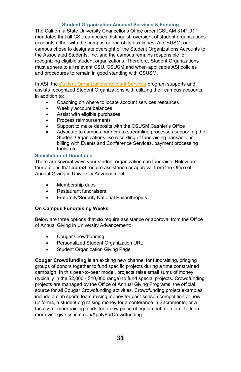# **Student Organization Account Services & Funding**

<span id="page-31-0"></span>The California State University Chancellor's Office order ICSUAM 3141.01 mandates that all CSU campuses distinguish oversight of student organizations accounts either with the campus or one of its auxiliaries. At CSUSM, our campus chose to designate oversight of the Student Organizations Accounts to the Associated Students, Inc. and the campus remains responsible for recognizing eligible student organizations. Therefore, Student Organizations must adhere to all relevant CSU, CSUSM and when applicable ASI policies and procedures to remain in good standing with CSUSM.

In ASI, th[e Student Organizations Account Services](https://www.csusm.edu/asi/services/account_services.html) program supports and assists recognized Student Organizations with utilizing their campus accounts in addition to:

- Coaching on where to locate account services resources
- Weekly account balances
- Assist with eligible purchases
- Process reimbursements
- Support to make deposits with the CSUSM Cashier's Office
- Advocate to campus partners to streamline processes supporting the Student Organizations like recording of fundraising transactions, billing with Events and Conference Services, payment processing tools, etc.

## <span id="page-31-1"></span>**Solicitation of Donations**

There are several ways your student organization can fundraise. Below are four options that *do not* require assistance or approval from the Office of Annual Giving in University Advancement:

- Membership dues
- Restaurant fundraisers
- Fraternity/Sorority National Philanthropies

## **On Campus Fundraising Weeks**

Below are three options that *do* require assistance or approval from the Office of Annual Giving in University Advancement:

- Cougar Crowdfunding
- Personalized Student Organization URL
- Student Organization Giving Page

**Cougar Crowdfunding** is an exciting new channel for fundraising, bringing groups of donors together to fund specific projects during a time constrained campaign. In this peer-to-peer model, projects raise small sums of money (typically in the \$2,000 - \$10,000 range) to fund special projects. Crowdfunding projects are managed by the Office of Annual Giving Programs, the official source for all Cougar Crowdfunding activities. Crowdfunding project examples include a club sports team raising money for post-season competition or new uniforms, a student org raising money for a conference in Sacramento, or a faculty member raising funds for a new piece of equipment for a lab. To learn more visit give.csusm.edu/ApplyForCrowdfunding.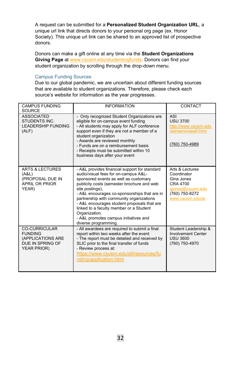A request can be submitted for a **Personalized Student Organization URL**, a unique url link that directs donors to your personal org page (ex. Honor Society). This unique url link can be shared to an approved list of prospective donors.

Donors can make a gift online at any time via the **Student Organizations Giving Page** at [www.csusm.edu/studentorgfunds.](http://www.csusm.edu/studentorgfunds) Donors can find your student organization by scrolling through the drop-down menu.

#### <span id="page-32-0"></span>Campus Funding Sources

Due to our global pandemic, we are uncertain about different funding sources that are available to student organizations. Therefore, please check each source's website for information as the year progresses.

| <b>CAMPUS FUNDING</b><br><b>SOURCE</b>                                                                | <b>INFORMATION</b>                                                                                                                                                                                                                                                                                                                                                                                                                                                      | CONTACT                                                                                                            |
|-------------------------------------------------------------------------------------------------------|-------------------------------------------------------------------------------------------------------------------------------------------------------------------------------------------------------------------------------------------------------------------------------------------------------------------------------------------------------------------------------------------------------------------------------------------------------------------------|--------------------------------------------------------------------------------------------------------------------|
| <b>ASSOCIATED</b><br><b>STUDENTS INC.</b><br><b>LEADERSHIP FUNDING</b><br>(ALF)                       | - Only recognized Student Organizations are<br>eligible for on-campus event funding<br>- All students may apply for ALF conference<br>support even if they are not a member of a<br>student organization<br>- Awards are reviewed monthly<br>- Funds are on a reimbursement basis<br>- Receipts must be submitted within 10<br>business days after your event                                                                                                           | ASI<br><b>USU 3700</b><br>http://www.csusm.edu<br>/asi/servicesalf.html<br>(760) 750-4989                          |
| <b>ARTS &amp; LECTURES</b><br>(A&L)<br>(PROPOSAL DUE IN<br><b>APRIL OR PRIOR</b><br>YEAR)             | - A&L provides financial support for standard<br>audio/visual fees for on-campus A&L-<br>sponsored events as well as customary<br>publicity costs (semester brochure and web<br>site postings).<br>- A&L encourages co-sponsorships that are in<br>partnership with community organizations<br>- A&L encourages student proposals that are<br>linked to a faculty member or a Student<br>Organization.<br>- A&L promotes campus initiatives and<br>diverse programming. | Arts & Lectures<br>Coordinator<br>Gina Jones<br>CRA 4700<br>giones@csusm.edu<br>(760) 750-8272<br>www.csusm.edu/al |
| <b>CO-CURRICULAR</b><br><b>FUNDING</b><br>(APPLICATIONS ARE<br>DUE IN SPRING OF<br><b>YEAR PRIOR)</b> | - All awardees are required to submit a final<br>report within two weeks after the event<br>- The report must be detailed and received by<br>SLIC prior to the final transfer of funds<br>- Review process at:<br>https://www.csusm.edu/sll/resources/fu<br>nding/application.html                                                                                                                                                                                      | Student Leadership &<br><b>Involvement Center</b><br><b>USU 3600</b><br>(760) 750-4970                             |